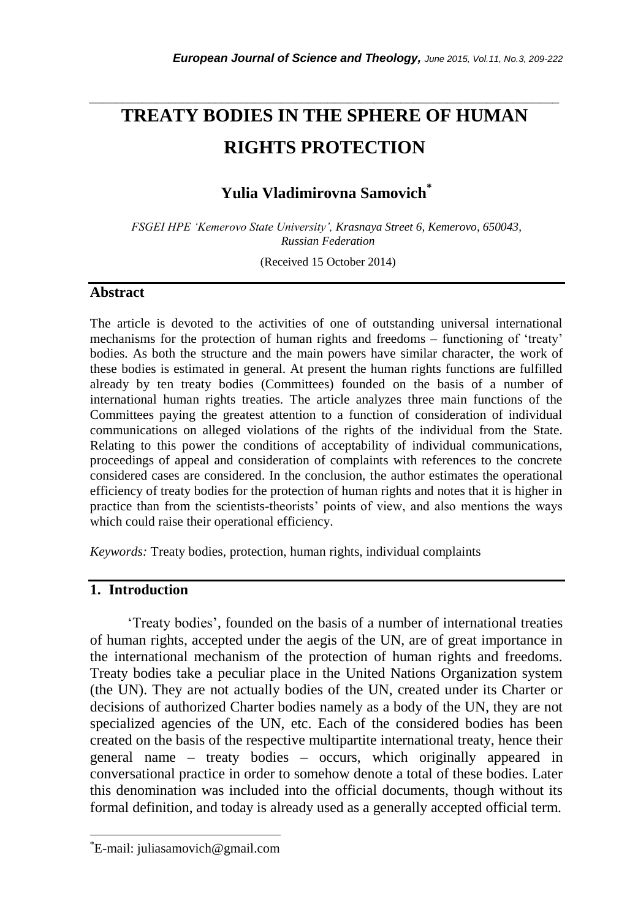# **TREATY BODIES IN THE SPHERE OF HUMAN RIGHTS PROTECTION**

*\_\_\_\_\_\_\_\_\_\_\_\_\_\_\_\_\_\_\_\_\_\_\_\_\_\_\_\_\_\_\_\_\_\_\_\_\_\_\_\_\_\_\_\_\_\_\_\_\_\_\_\_\_\_\_\_\_\_\_\_\_\_\_\_\_\_\_\_\_\_\_*

## **Yulia Vladimirovna Samovich\***

*FSGEI HPE 'Kemerovo State University', Krasnaya Street 6, Kemerovo, 650043, Russian Federation*

(Received 15 October 2014)

## **Abstract**

The article is devoted to the activities of one of outstanding universal international mechanisms for the protection of human rights and freedoms – functioning of "treaty" bodies. As both the structure and the main powers have similar character, the work of these bodies is estimated in general. At present the human rights functions are fulfilled already by ten treaty bodies (Committees) founded on the basis of a number of international human rights treaties. The article analyzes three main functions of the Committees paying the greatest attention to a function of consideration of individual communications on alleged violations of the rights of the individual from the State. Relating to this power the conditions of acceptability of individual communications, proceedings of appeal and consideration of complaints with references to the concrete considered cases are considered. In the conclusion, the author estimates the operational efficiency of treaty bodies for the protection of human rights and notes that it is higher in practice than from the scientists-theorists" points of view, and also mentions the ways which could raise their operational efficiency.

*Keywords:* Treaty bodies, protection, human rights, individual complaints

## **1. Introduction**

l

"Treaty bodies", founded on the basis of a number of international treaties of human rights, accepted under the aegis of the UN, are of great importance in the international mechanism of the protection of human rights and freedoms. Treaty bodies take a peculiar place in the United Nations Organization system (the UN). They are not actually bodies of the UN, created under its Charter or decisions of authorized Charter bodies namely as a body of the UN, they are not specialized agencies of the UN, etc. Each of the considered bodies has been created on the basis of the respective multipartite international treaty, hence their general name – treaty bodies – occurs, which originally appeared in conversational practice in order to somehow denote a total of these bodies. Later this denomination was included into the official documents, though without its formal definition, and today is already used as a generally accepted official term.

<sup>\*</sup>E-mail: juliasamovich@gmail.com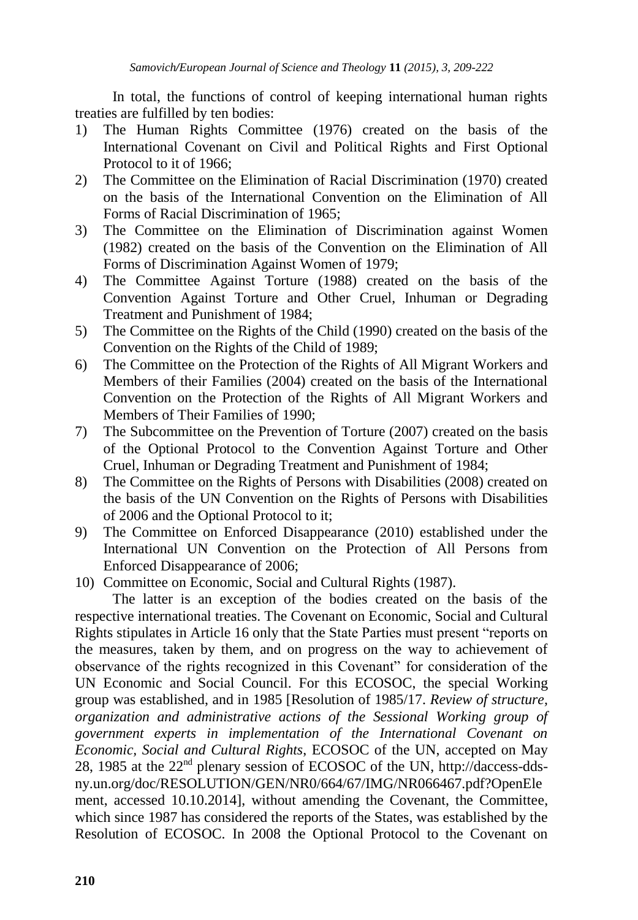In total, the functions of control of keeping international human rights treaties are fulfilled by ten bodies:

- 1) The Human Rights Committee (1976) created on the basis of the International Covenant on Civil and Political Rights and First Optional Protocol to it of 1966;
- 2) The Committee on the Elimination of Racial Discrimination (1970) created on the basis of the International Convention on the Elimination of All Forms of Racial Discrimination of 1965;
- 3) The Committee on the Elimination of Discrimination against Women (1982) created on the basis of the Convention on the Elimination of All Forms of Discrimination Against Women of 1979;
- 4) The Committee Against Torture (1988) created on the basis of the Convention Against Torture and Other Cruel, Inhuman or Degrading Treatment and Punishment of 1984;
- 5) The Committee on the Rights of the Child (1990) created on the basis of the Convention on the Rights of the Child of 1989;
- 6) The Committee on the Protection of the Rights of All Migrant Workers and Members of their Families (2004) created on the basis of the International Convention on the Protection of the Rights of All Migrant Workers and Members of Their Families of 1990;
- 7) The Subcommittee on the Prevention of Torture (2007) created on the basis of the Optional Protocol to the Convention Against Torture and Other Cruel, Inhuman or Degrading Treatment and Punishment of 1984;
- 8) The Committee on the Rights of Persons with Disabilities (2008) created on the basis of the UN Convention on the Rights of Persons with Disabilities of 2006 and the Optional Protocol to it;
- 9) The Committee on Enforced Disappearance (2010) established under the International UN Convention on the Protection of All Persons from Enforced Disappearance of 2006;
- 10) Committee on Economic, Social and Cultural Rights (1987).

The latter is an exception of the bodies created on the basis of the respective international treaties. The Covenant on Economic, Social and Cultural Rights stipulates in Article 16 only that the State Parties must present "reports on the measures, taken by them, and on progress on the way to achievement of observance of the rights recognized in this Covenant" for consideration of the UN Economic and Social Council. For this ECOSOC, the special Working group was established, and in 1985 [Resolution of 1985/17. *Review of structure, organization and administrative actions of the Sessional Working group of government experts in implementation of the International Covenant on Economic, Social and Cultural Rights*, ECOSOC of the UN, accepted on May 28, 1985 at the 22<sup>nd</sup> plenary session of ECOSOC of the UN, http://daccess-ddsny.un.org/doc/RESOLUTION/GEN/NR0/664/67/IMG/NR066467.pdf?OpenEle ment, accessed 10.10.2014], without amending the Covenant, the Committee, which since 1987 has considered the reports of the States, was established by the Resolution of ECOSOC. In 2008 the Optional Protocol to the Covenant on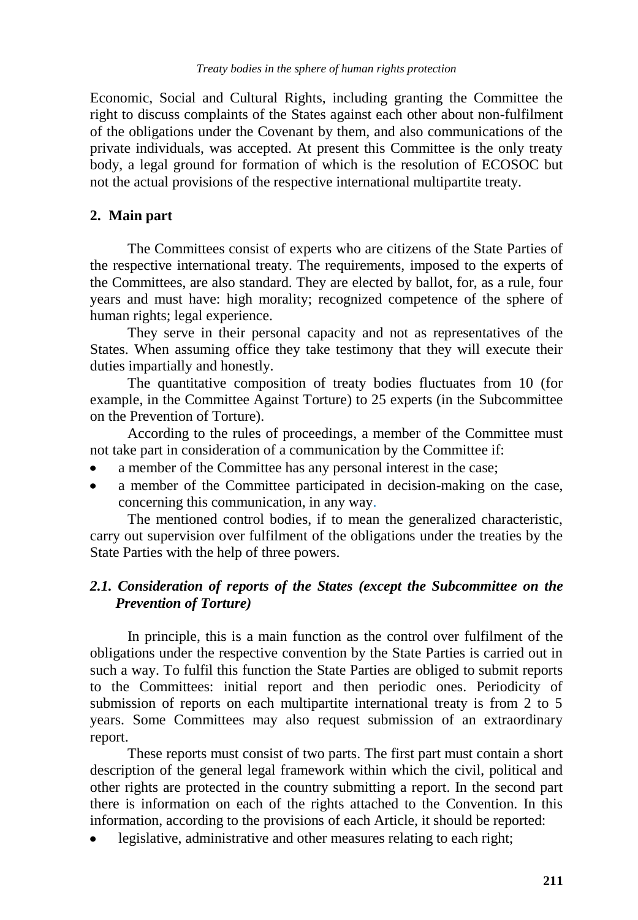Economic, Social and Cultural Rights, including granting the Committee the right to discuss complaints of the States against each other about non-fulfilment of the obligations under the Covenant by them, and also communications of the private individuals, was accepted. At present this Committee is the only treaty body, a legal ground for formation of which is the resolution of ECOSOC but not the actual provisions of the respective international multipartite treaty.

## **2. Main part**

The Committees consist of experts who are citizens of the State Parties of the respective international treaty. The requirements, imposed to the experts of the Committees, are also standard. They are elected by ballot, for, as a rule, four years and must have: high morality; recognized competence of the sphere of human rights; legal experience.

They serve in their personal capacity and not as representatives of the States. When assuming office they take testimony that they will execute their duties impartially and honestly.

The quantitative composition of treaty bodies fluctuates from 10 (for example, in the Committee Against Torture) to 25 experts (in the Subcommittee on the Prevention of Torture).

According to the rules of proceedings, a member of the Committee must not take part in consideration of a communication by the Committee if:

- a member of the Committee has any personal interest in the case;
- a member of the Committee participated in decision-making on the case, concerning this communication, in any way.

The mentioned control bodies, if to mean the generalized characteristic, carry out supervision over fulfilment of the obligations under the treaties by the State Parties with the help of three powers.

## *2.1. Consideration of reports of the States (except the Subcommittee on the Prevention of Torture)*

In principle, this is a main function as the control over fulfilment of the obligations under the respective convention by the State Parties is carried out in such a way. To fulfil this function the State Parties are obliged to submit reports to the Committees: initial report and then periodic ones. Periodicity of submission of reports on each multipartite international treaty is from 2 to 5 years. Some Committees may also request submission of an extraordinary report.

These reports must consist of two parts. The first part must contain a short description of the general legal framework within which the civil, political and other rights are protected in the country submitting a report. In the second part there is information on each of the rights attached to the Convention. In this information, according to the provisions of each Article, it should be reported:

legislative, administrative and other measures relating to each right;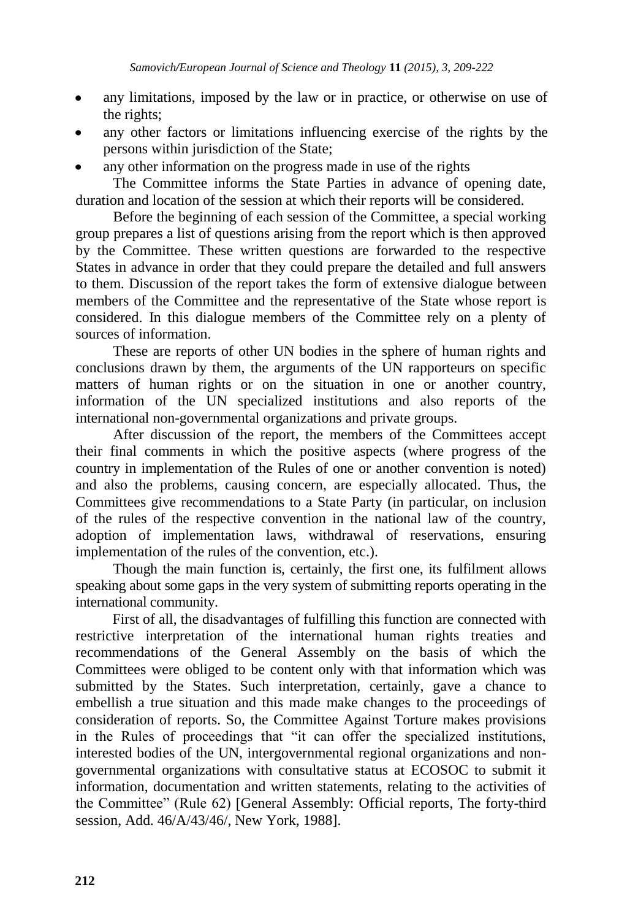- any limitations, imposed by the law or in practice, or otherwise on use of the rights;
- any other factors or limitations influencing exercise of the rights by the persons within jurisdiction of the State;
- any other information on the progress made in use of the rights

The Committee informs the State Parties in advance of opening date, duration and location of the session at which their reports will be considered.

Before the beginning of each session of the Committee, a special working group prepares a list of questions arising from the report which is then approved by the Committee. These written questions are forwarded to the respective States in advance in order that they could prepare the detailed and full answers to them. Discussion of the report takes the form of extensive dialogue between members of the Committee and the representative of the State whose report is considered. In this dialogue members of the Committee rely on a plenty of sources of information.

These are reports of other UN bodies in the sphere of human rights and conclusions drawn by them, the arguments of the UN rapporteurs on specific matters of human rights or on the situation in one or another country, information of the UN specialized institutions and also reports of the international non-governmental organizations and private groups.

After discussion of the report, the members of the Committees accept their final comments in which the positive aspects (where progress of the country in implementation of the Rules of one or another convention is noted) and also the problems, causing concern, are especially allocated. Thus, the Committees give recommendations to a State Party (in particular, on inclusion of the rules of the respective convention in the national law of the country, adoption of implementation laws, withdrawal of reservations, ensuring implementation of the rules of the convention, etc.).

Though the main function is, certainly, the first one, its fulfilment allows speaking about some gaps in the very system of submitting reports operating in the international community.

First of all, the disadvantages of fulfilling this function are connected with restrictive interpretation of the international human rights treaties and recommendations of the General Assembly on the basis of which the Committees were obliged to be content only with that information which was submitted by the States. Such interpretation, certainly, gave a chance to embellish a true situation and this made make changes to the proceedings of consideration of reports. So, the Committee Against Torture makes provisions in the Rules of proceedings that "it can offer the specialized institutions, interested bodies of the UN, intergovernmental regional organizations and nongovernmental organizations with consultative status at ECOSOC to submit it information, documentation and written statements, relating to the activities of the Committee" (Rule 62) [General Assembly: Official reports, The forty-third session, Add. 46/A/43/46/, New York, 1988].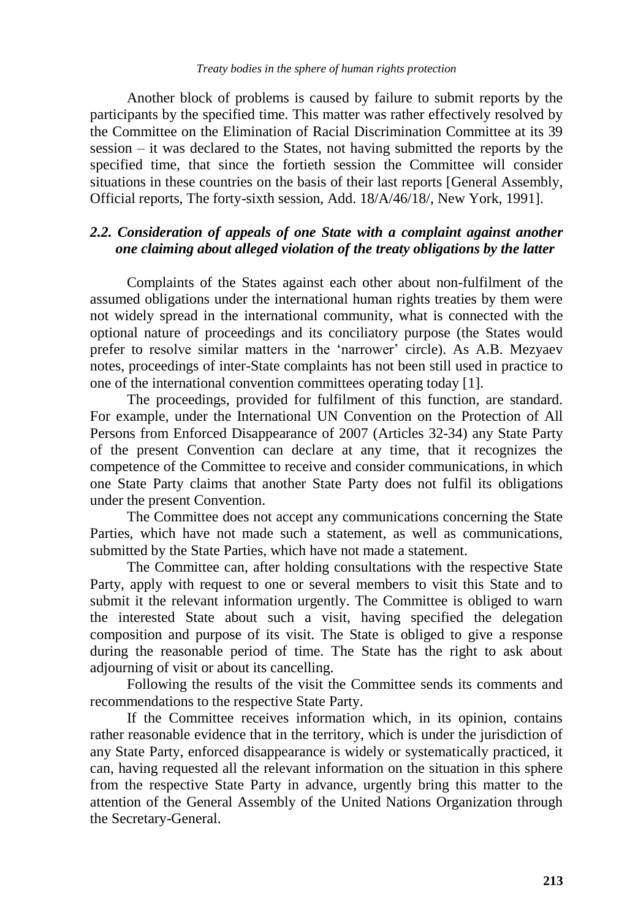#### *Treaty bodies in the sphere of human rights protection*

Another block of problems is caused by failure to submit reports by the participants by the specified time. This matter was rather effectively resolved by the Committee on the Elimination of Racial Discrimination Committee at its 39 session – it was declared to the States, not having submitted the reports by the specified time, that since the fortieth session the Committee will consider situations in these countries on the basis of their last reports [General Assembly, Official reports, The forty-sixth session, Add. 18/A/46/18/, New York, 1991].

## *2.2. Consideration of appeals of one State with a complaint against another one claiming about alleged violation of the treaty obligations by the latter*

Complaints of the States against each other about non-fulfilment of the assumed obligations under the international human rights treaties by them were not widely spread in the international community, what is connected with the optional nature of proceedings and its conciliatory purpose (the States would prefer to resolve similar matters in the "narrower" circle). As A.B. Mezyaev notes, proceedings of inter-State complaints has not been still used in practice to one of the international convention committees operating today [1].

The proceedings, provided for fulfilment of this function, are standard. For example, under the International UN Convention on the Protection of All Persons from Enforced Disappearance of 2007 (Articles 32-34) any State Party of the present Convention can declare at any time, that it recognizes the competence of the Committee to receive and consider communications, in which one State Party claims that another State Party does not fulfil its obligations under the present Convention.

The Committee does not accept any communications concerning the State Parties, which have not made such a statement, as well as communications, submitted by the State Parties, which have not made a statement.

The Committee can, after holding consultations with the respective State Party, apply with request to one or several members to visit this State and to submit it the relevant information urgently. The Committee is obliged to warn the interested State about such a visit, having specified the delegation composition and purpose of its visit. The State is obliged to give a response during the reasonable period of time. The State has the right to ask about adjourning of visit or about its cancelling.

Following the results of the visit the Committee sends its comments and recommendations to the respective State Party.

If the Committee receives information which, in its opinion, contains rather reasonable evidence that in the territory, which is under the jurisdiction of any State Party, enforced disappearance is widely or systematically practiced, it can, having requested all the relevant information on the situation in this sphere from the respective State Party in advance, urgently bring this matter to the attention of the General Assembly of the United Nations Organization through the Secretary-General.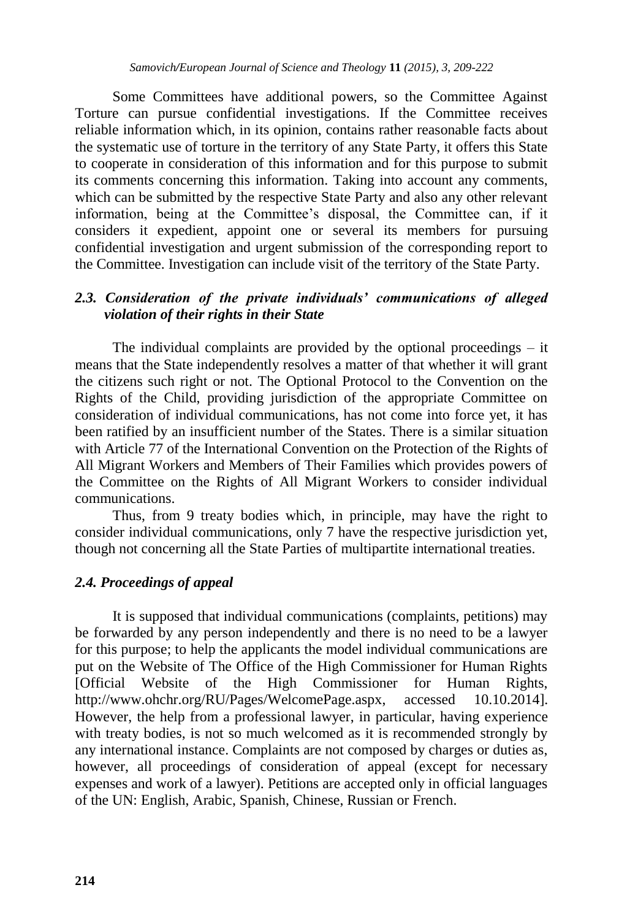Some Committees have additional powers, so the Committee Against Torture can pursue confidential investigations. If the Committee receives reliable information which, in its opinion, contains rather reasonable facts about the systematic use of torture in the territory of any State Party, it offers this State to cooperate in consideration of this information and for this purpose to submit its comments concerning this information. Taking into account any comments, which can be submitted by the respective State Party and also any other relevant information, being at the Committee's disposal, the Committee can, if it considers it expedient, appoint one or several its members for pursuing confidential investigation and urgent submission of the corresponding report to the Committee. Investigation can include visit of the territory of the State Party.

## *2.3. Consideration of the private individuals' communications of alleged violation of their rights in their State*

The individual complaints are provided by the optional proceedings – it means that the State independently resolves a matter of that whether it will grant the citizens such right or not. The Optional Protocol to the Convention on the Rights of the Child, providing jurisdiction of the appropriate Committee on consideration of individual communications, has not come into force yet, it has been ratified by an insufficient number of the States. There is a similar situation with Article 77 of the International Convention on the Protection of the Rights of All Migrant Workers and Members of Their Families which provides powers of the Committee on the Rights of All Migrant Workers to consider individual communications.

Thus, from 9 treaty bodies which, in principle, may have the right to consider individual communications, only 7 have the respective jurisdiction yet, though not concerning all the State Parties of multipartite international treaties.

### *2.4. Proceedings of appeal*

It is supposed that individual communications (complaints, petitions) may be forwarded by any person independently and there is no need to be a lawyer for this purpose; to help the applicants the model individual communications are put on the Website of The Office of the High Commissioner for Human Rights [Official Website of the High Commissioner for Human Rights, http://www.ohchr.org/RU/Pages/WelcomePage.aspx, accessed 10.10.2014]. However, the help from a professional lawyer, in particular, having experience with treaty bodies, is not so much welcomed as it is recommended strongly by any international instance. Complaints are not composed by charges or duties as, however, all proceedings of consideration of appeal (except for necessary expenses and work of a lawyer). Petitions are accepted only in official languages of the UN: English, Arabic, Spanish, Chinese, Russian or French.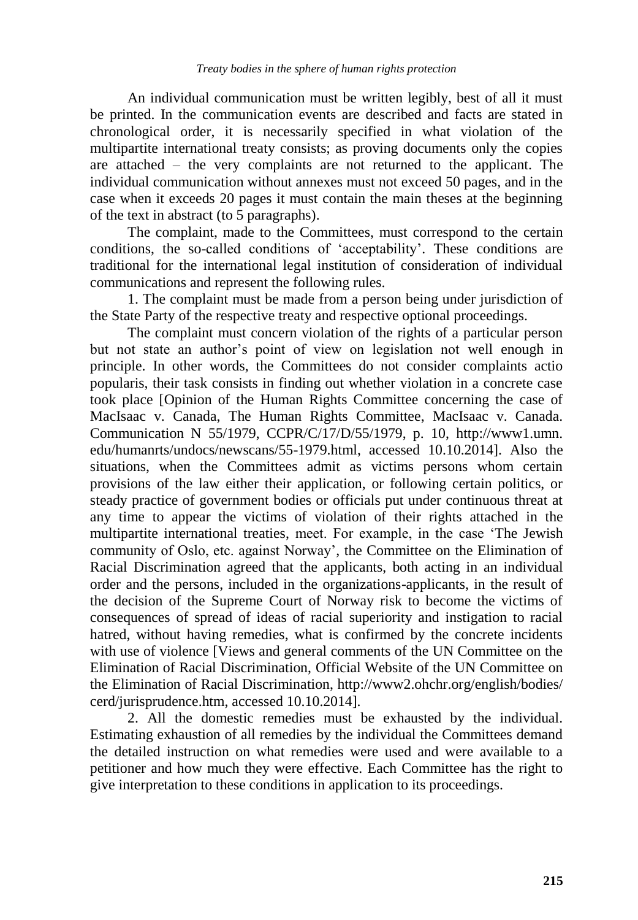An individual communication must be written legibly, best of all it must be printed. In the communication events are described and facts are stated in chronological order, it is necessarily specified in what violation of the multipartite international treaty consists; as proving documents only the copies are attached – the very complaints are not returned to the applicant. The individual communication without annexes must not exceed 50 pages, and in the case when it exceeds 20 pages it must contain the main theses at the beginning of the text in abstract (to 5 paragraphs).

The complaint, made to the Committees, must correspond to the certain conditions, the so-called conditions of "acceptability". These conditions are traditional for the international legal institution of consideration of individual communications and represent the following rules.

1. The complaint must be made from a person being under jurisdiction of the State Party of the respective treaty and respective optional proceedings.

The complaint must concern violation of the rights of a particular person but not state an author"s point of view on legislation not well enough in principle. In other words, the Committees do not consider complaints actio popularis, their task consists in finding out whether violation in a concrete case took place [Opinion of the Human Rights Committee concerning the case of MacIsaac v. Canada, The Human Rights Committee, MacIsaac v. Canada. Communication N 55/1979, CCPR/C/17/D/55/1979, p. 10, [http://www1.umn.](http://www1.umn/) edu/humanrts/undocs/newscans/55-1979.html, accessed 10.10.2014]. Also the situations, when the Committees admit as victims persons whom certain provisions of the law either their application, or following certain politics, or steady practice of government bodies or officials put under continuous threat at any time to appear the victims of violation of their rights attached in the multipartite international treaties, meet. For example, in the case "The Jewish community of Oslo, etc. against Norway", the Committee on the Elimination of Racial Discrimination agreed that the applicants, both acting in an individual order and the persons, included in the organizations-applicants, in the result of the decision of the Supreme Court of Norway risk to become the victims of consequences of spread of ideas of racial superiority and instigation to racial hatred, without having remedies, what is confirmed by the concrete incidents with use of violence [Views and general comments of the UN Committee on the Elimination of Racial Discrimination, Official Website of the UN Committee on the Elimination of Racial Discrimination, http://www2.ohchr.org/english/bodies/ cerd/jurisprudence.htm, accessed 10.10.2014].

2. All the domestic remedies must be exhausted by the individual. Estimating exhaustion of all remedies by the individual the Committees demand the detailed instruction on what remedies were used and were available to a petitioner and how much they were effective. Each Committee has the right to give interpretation to these conditions in application to its proceedings.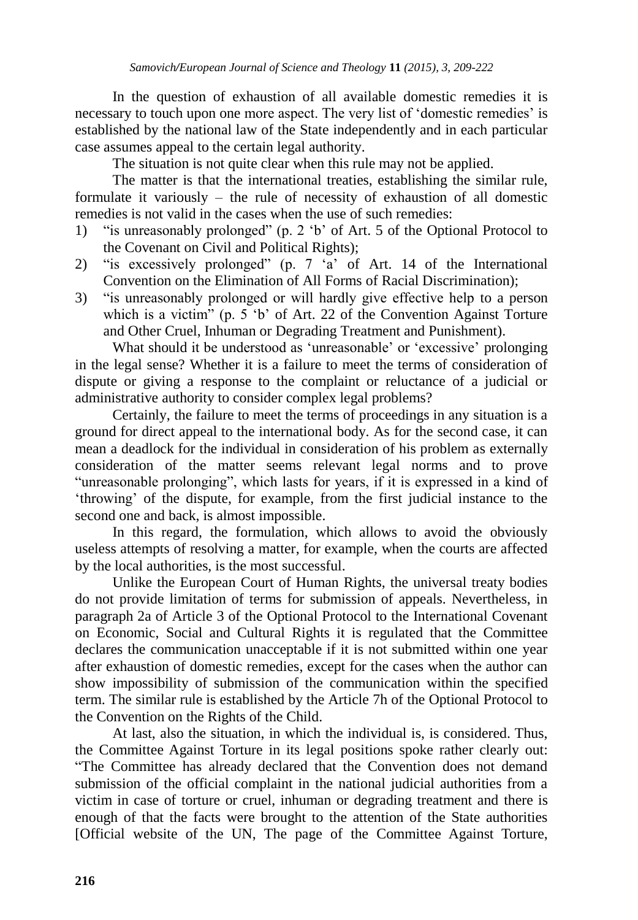In the question of exhaustion of all available domestic remedies it is necessary to touch upon one more aspect. The very list of 'domestic remedies' is established by the national law of the State independently and in each particular case assumes appeal to the certain legal authority.

The situation is not quite clear when this rule may not be applied.

The matter is that the international treaties, establishing the similar rule, formulate it variously – the rule of necessity of exhaustion of all domestic remedies is not valid in the cases when the use of such remedies:

- 1) "is unreasonably prolonged" (p. 2 "b" of Art. 5 of the Optional Protocol to the Covenant on Civil and Political Rights);
- 2) "is excessively prolonged" (p.  $7 \times a$ " of Art. 14 of the International Convention on the Elimination of All Forms of Racial Discrimination);
- 3) "is unreasonably prolonged or will hardly give effective help to a person which is a victim" (p. 5 'b' of Art. 22 of the Convention Against Torture and Other Cruel, Inhuman or Degrading Treatment and Punishment).

What should it be understood as 'unreasonable' or 'excessive' prolonging in the legal sense? Whether it is a failure to meet the terms of consideration of dispute or giving a response to the complaint or reluctance of a judicial or administrative authority to consider complex legal problems?

Certainly, the failure to meet the terms of proceedings in any situation is a ground for direct appeal to the international body. As for the second case, it can mean a deadlock for the individual in consideration of his problem as externally consideration of the matter seems relevant legal norms and to prove "unreasonable prolonging", which lasts for years, if it is expressed in a kind of "throwing" of the dispute, for example, from the first judicial instance to the second one and back, is almost impossible.

In this regard, the formulation, which allows to avoid the obviously useless attempts of resolving a matter, for example, when the courts are affected by the local authorities, is the most successful.

Unlike the European Court of Human Rights, the universal treaty bodies do not provide limitation of terms for submission of appeals. Nevertheless, in paragraph 2a of Article 3 of the Optional Protocol to the International Covenant on Economic, Social and Cultural Rights it is regulated that the Committee declares the communication unacceptable if it is not submitted within one year after exhaustion of domestic remedies, except for the cases when the author can show impossibility of submission of the communication within the specified term. The similar rule is established by the Article 7h of the Optional Protocol to the Convention on the Rights of the Child.

At last, also the situation, in which the individual is, is considered. Thus, the Committee Against Torture in its legal positions spoke rather clearly out: "The Committee has already declared that the Convention does not demand submission of the official complaint in the national judicial authorities from a victim in case of torture or cruel, inhuman or degrading treatment and there is enough of that the facts were brought to the attention of the State authorities [Official website of the UN, The page of the Committee Against Torture,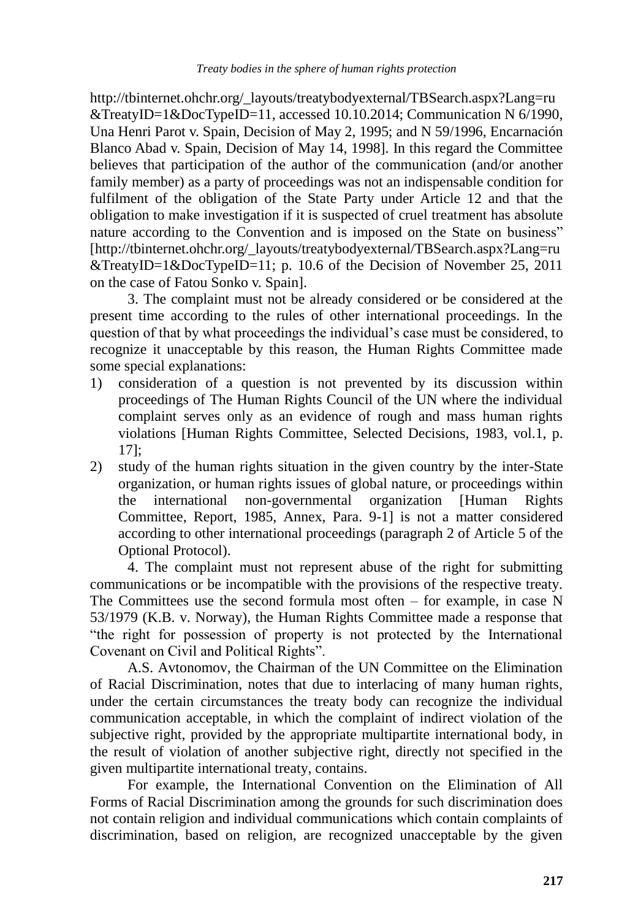http://tbinternet.ohchr.org/\_layouts/treatybodyexternal/TBSearch.aspx?Lang=ru &TreatyID=1&DocTypeID=11, accessed 10.10.2014; Communication N 6/1990, Una Henri Parot v. Spain, Decision of May 2, 1995; and N 59/1996, Encarnación Blanco Abad v. Spain, Decision of May 14, 1998]. In this regard the Committee believes that participation of the author of the communication (and/or another family member) as a party of proceedings was not an indispensable condition for fulfilment of the obligation of the State Party under Article 12 and that the obligation to make investigation if it is suspected of cruel treatment has absolute nature according to the Convention and is imposed on the State on business" [http://tbinternet.ohchr.org/\_layouts/treatybodyexternal/TBSearch.aspx?Lang=ru &TreatyID=1&DocTypeID=11; p. 10.6 of the Decision of November 25, 2011 on the case of Fatou Sonko v. Spain].

3. The complaint must not be already considered or be considered at the present time according to the rules of other international proceedings. In the question of that by what proceedings the individual"s case must be considered, to recognize it unacceptable by this reason, the Human Rights Committee made some special explanations:

- 1) consideration of a question is not prevented by its discussion within proceedings of The Human Rights Council of the UN where the individual complaint serves only as an evidence of rough and mass human rights violations [Human Rights Committee, Selected Decisions, 1983, vol.1, p. 17];
- 2) study of the human rights situation in the given country by the inter-State organization, or human rights issues of global nature, or proceedings within the international non-governmental organization [Human Rights Committee, Report, 1985, Annex, Para. 9-1] is not a matter considered according to other international proceedings (paragraph 2 of Article 5 of the Optional Protocol).

4. The complaint must not represent abuse of the right for submitting communications or be incompatible with the provisions of the respective treaty. The Committees use the second formula most often – for example, in case N 53/1979 (K.B. v. Norway), the Human Rights Committee made a response that "the right for possession of property is not protected by the International Covenant on Civil and Political Rights".

A.S. Avtonomov, the Chairman of the UN Committee on the Elimination of Racial Discrimination, notes that due to interlacing of many human rights, under the certain circumstances the treaty body can recognize the individual communication acceptable, in which the complaint of indirect violation of the subjective right, provided by the appropriate multipartite international body, in the result of violation of another subjective right, directly not specified in the given multipartite international treaty, contains.

For example, the International Convention on the Elimination of All Forms of Racial Discrimination among the grounds for such discrimination does not contain religion and individual communications which contain complaints of discrimination, based on religion, are recognized unacceptable by the given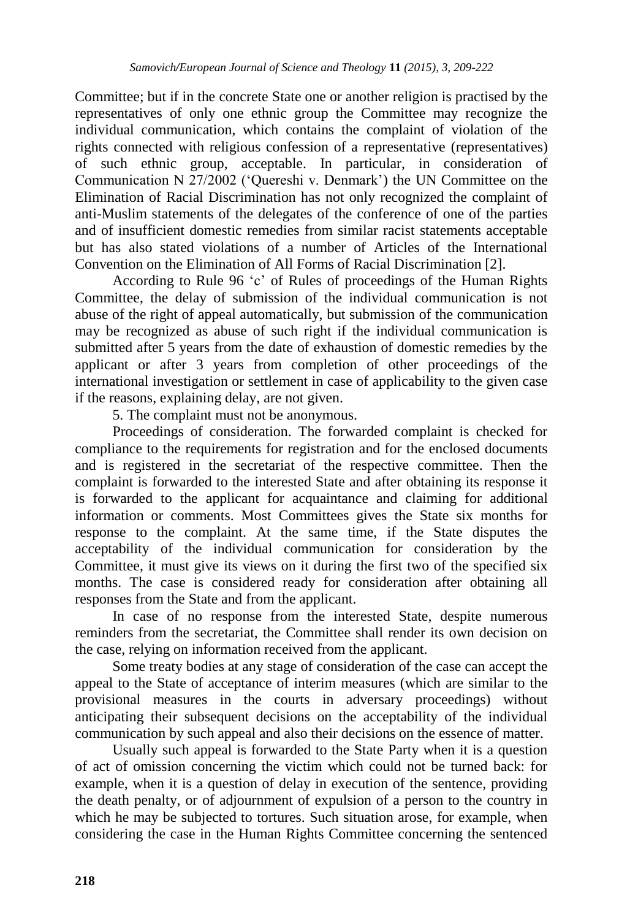Committee; but if in the concrete State one or another religion is practised by the representatives of only one ethnic group the Committee may recognize the individual communication, which contains the complaint of violation of the rights connected with religious confession of a representative (representatives) of such ethnic group, acceptable. In particular, in consideration of Communication N 27/2002 ("Quereshi v. Denmark") the UN Committee on the Elimination of Racial Discrimination has not only recognized the complaint of anti-Muslim statements of the delegates of the conference of one of the parties and of insufficient domestic remedies from similar racist statements acceptable but has also stated violations of a number of Articles of the International Convention on the Elimination of All Forms of Racial Discrimination [2].

According to Rule 96 "c" of Rules of proceedings of the Human Rights Committee, the delay of submission of the individual communication is not abuse of the right of appeal automatically, but submission of the communication may be recognized as abuse of such right if the individual communication is submitted after 5 years from the date of exhaustion of domestic remedies by the applicant or after 3 years from completion of other proceedings of the international investigation or settlement in case of applicability to the given case if the reasons, explaining delay, are not given.

5. The complaint must not be anonymous.

Proceedings of consideration. The forwarded complaint is checked for compliance to the requirements for registration and for the enclosed documents and is registered in the secretariat of the respective committee. Then the complaint is forwarded to the interested State and after obtaining its response it is forwarded to the applicant for acquaintance and claiming for additional information or comments. Most Committees gives the State six months for response to the complaint. At the same time, if the State disputes the acceptability of the individual communication for consideration by the Committee, it must give its views on it during the first two of the specified six months. The case is considered ready for consideration after obtaining all responses from the State and from the applicant.

In case of no response from the interested State, despite numerous reminders from the secretariat, the Committee shall render its own decision on the case, relying on information received from the applicant.

Some treaty bodies at any stage of consideration of the case can accept the appeal to the State of acceptance of interim measures (which are similar to the provisional measures in the courts in adversary proceedings) without anticipating their subsequent decisions on the acceptability of the individual communication by such appeal and also their decisions on the essence of matter.

Usually such appeal is forwarded to the State Party when it is a question of act of omission concerning the victim which could not be turned back: for example, when it is a question of delay in execution of the sentence, providing the death penalty, or of adjournment of expulsion of a person to the country in which he may be subjected to tortures. Such situation arose, for example, when considering the case in the Human Rights Committee concerning the sentenced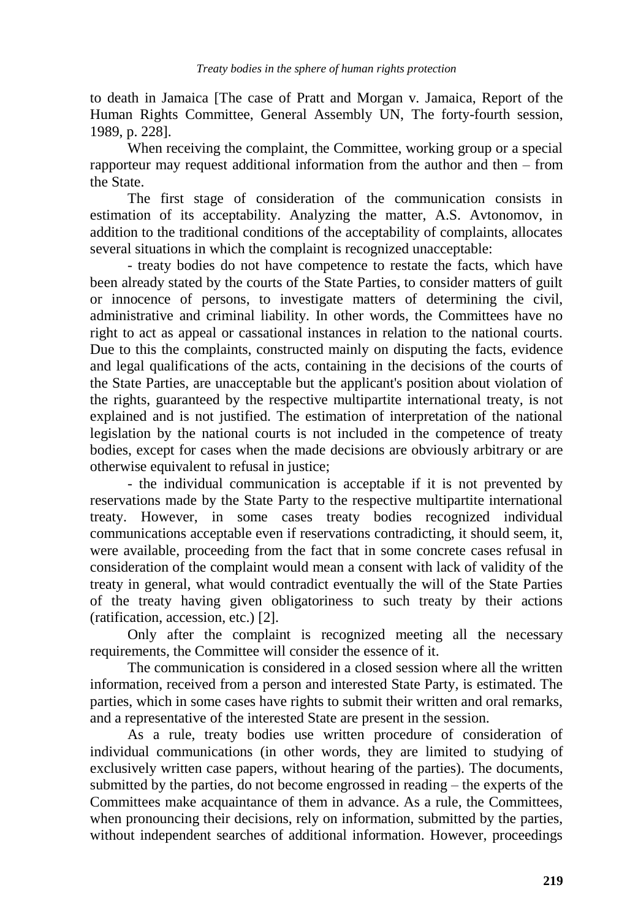to death in Jamaica [The case of Pratt and Morgan v. Jamaica, Report of the Human Rights Committee, General Assembly UN, The forty-fourth session, 1989, p. 228].

When receiving the complaint, the Committee, working group or a special rapporteur may request additional information from the author and then – from the State.

The first stage of consideration of the communication consists in estimation of its acceptability. Analyzing the matter, A.S. Avtonomov, in addition to the traditional conditions of the acceptability of complaints, allocates several situations in which the complaint is recognized unacceptable:

- treaty bodies do not have competence to restate the facts, which have been already stated by the courts of the State Parties, to consider matters of guilt or innocence of persons, to investigate matters of determining the civil, administrative and criminal liability. In other words, the Committees have no right to act as appeal or cassational instances in relation to the national courts. Due to this the complaints, constructed mainly on disputing the facts, evidence and legal qualifications of the acts, containing in the decisions of the courts of the State Parties, are unacceptable but the applicant's position about violation of the rights, guaranteed by the respective multipartite international treaty, is not explained and is not justified. The estimation of interpretation of the national legislation by the national courts is not included in the competence of treaty bodies, except for cases when the made decisions are obviously arbitrary or are otherwise equivalent to refusal in justice;

- the individual communication is acceptable if it is not prevented by reservations made by the State Party to the respective multipartite international treaty. However, in some cases treaty bodies recognized individual communications acceptable even if reservations contradicting, it should seem, it, were available, proceeding from the fact that in some concrete cases refusal in consideration of the complaint would mean a consent with lack of validity of the treaty in general, what would contradict eventually the will of the State Parties of the treaty having given obligatoriness to such treaty by their actions (ratification, accession, etc.) [2].

Only after the complaint is recognized meeting all the necessary requirements, the Committee will consider the essence of it.

The communication is considered in a closed session where all the written information, received from a person and interested State Party, is estimated. The parties, which in some cases have rights to submit their written and oral remarks, and a representative of the interested State are present in the session.

As a rule, treaty bodies use written procedure of consideration of individual communications (in other words, they are limited to studying of exclusively written case papers, without hearing of the parties). The documents, submitted by the parties, do not become engrossed in reading – the experts of the Committees make acquaintance of them in advance. As a rule, the Committees, when pronouncing their decisions, rely on information, submitted by the parties, without independent searches of additional information. However, proceedings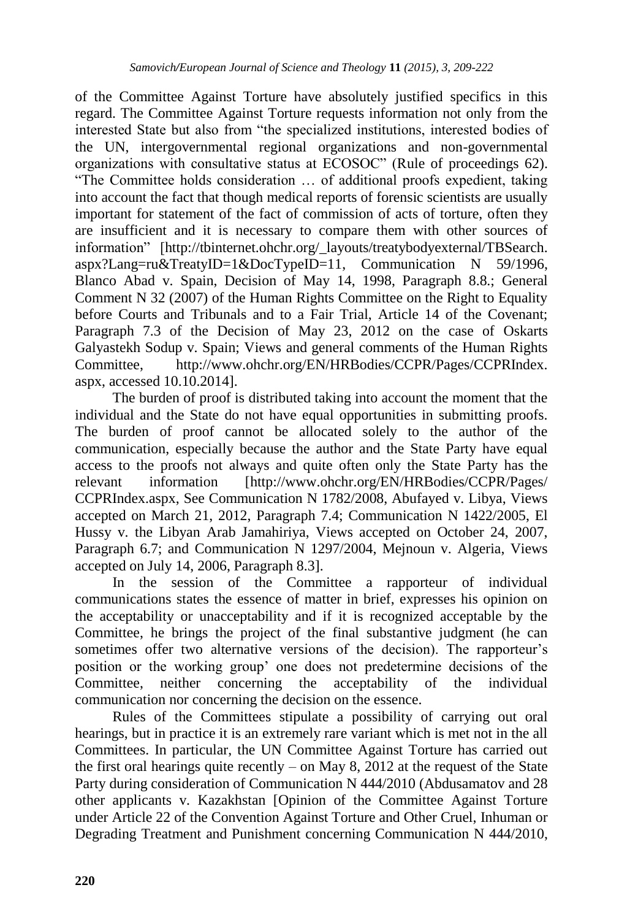of the Committee Against Torture have absolutely justified specifics in this regard. The Committee Against Torture requests information not only from the interested State but also from "the specialized institutions, interested bodies of the UN, intergovernmental regional organizations and non-governmental organizations with consultative status at ECOSOC" (Rule of proceedings 62). "The Committee holds consideration … of additional proofs expedient, taking into account the fact that though medical reports of forensic scientists are usually important for statement of the fact of commission of acts of torture, often they are insufficient and it is necessary to compare them with other sources of information" [http://tbinternet.ohchr.org/\_layouts/treatybodyexternal/TBSearch. aspx?Lang=ru&TreatyID=1&DocTypeID=11, Communication N 59/1996, Blanco Abad v. Spain, Decision of May 14, 1998, Paragraph 8.8.; General Comment N 32 (2007) of the Human Rights Committee on the Right to Equality before Courts and Tribunals and to a Fair Trial, Article 14 of the Covenant; Paragraph 7.3 of the Decision of May 23, 2012 on the case of Oskarts Galyastekh Sodup v. Spain; Views and general comments of the Human Rights Committee, http://www.ohchr.org/EN/HRBodies/CCPR/Pages/CCPRIndex. aspx, accessed 10.10.2014].

The burden of proof is distributed taking into account the moment that the individual and the State do not have equal opportunities in submitting proofs. The burden of proof cannot be allocated solely to the author of the communication, especially because the author and the State Party have equal access to the proofs not always and quite often only the State Party has the relevant information [http://www.ohchr.org/EN/HRBodies/CCPR/Pages/ CCPRIndex.aspx, See Communication N 1782/2008, Abufayed v. Libya, Views accepted on March 21, 2012, Paragraph 7.4; Communication N 1422/2005, El Hussy v. the Libyan Arab Jamahiriya, Views accepted on October 24, 2007, Paragraph 6.7; and Communication N 1297/2004, Mejnoun v. Algeria, Views accepted on July 14, 2006, Paragraph 8.3].

In the session of the Committee a rapporteur of individual communications states the essence of matter in brief, expresses his opinion on the acceptability or unacceptability and if it is recognized acceptable by the Committee, he brings the project of the final substantive judgment (he can sometimes offer two alternative versions of the decision). The rapporteur's position or the working group" one does not predetermine decisions of the Committee, neither concerning the acceptability of the individual communication nor concerning the decision on the essence.

Rules of the Committees stipulate a possibility of carrying out oral hearings, but in practice it is an extremely rare variant which is met not in the all Committees. In particular, the UN Committee Against Torture has carried out the first oral hearings quite recently – on May 8, 2012 at the request of the State Party during consideration of Communication N 444/2010 (Abdusamatov and 28 other applicants v. Kazakhstan [Opinion of the Committee Against Torture under Article 22 of the Convention Against Torture and Other Cruel, Inhuman or Degrading Treatment and Punishment concerning Communication N 444/2010,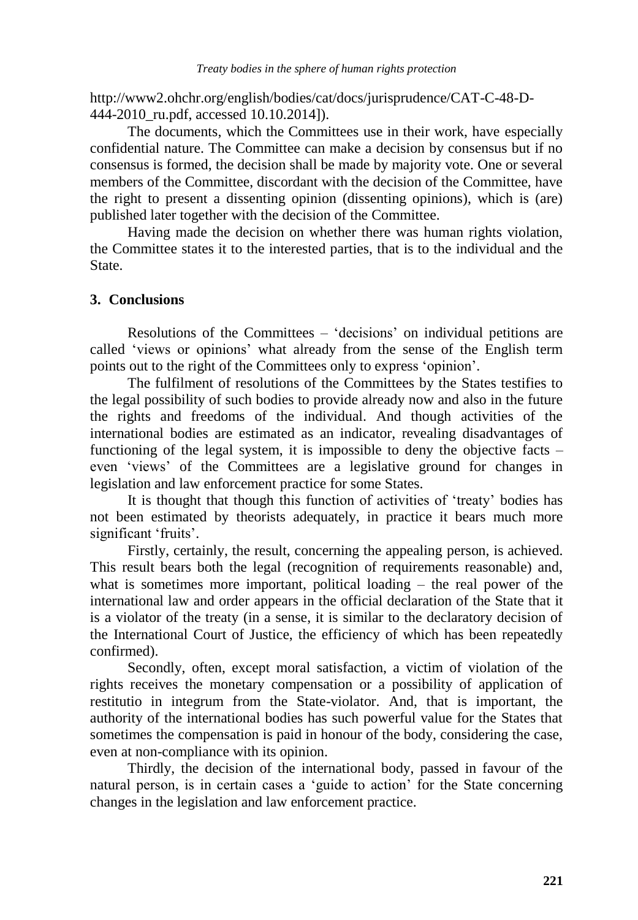http://www2.ohchr.org/english/bodies/cat/docs/jurisprudence/CAT-C-48-D-444-2010 ru.pdf, accessed 10.10.2014]).

The documents, which the Committees use in their work, have especially confidential nature. The Committee can make a decision by consensus but if no consensus is formed, the decision shall be made by majority vote. One or several members of the Committee, discordant with the decision of the Committee, have the right to present a dissenting opinion (dissenting opinions), which is (are) published later together with the decision of the Committee.

Having made the decision on whether there was human rights violation, the Committee states it to the interested parties, that is to the individual and the State.

## **3. Conclusions**

Resolutions of the Committees – "decisions" on individual petitions are called "views or opinions" what already from the sense of the English term points out to the right of the Committees only to express "opinion".

The fulfilment of resolutions of the Committees by the States testifies to the legal possibility of such bodies to provide already now and also in the future the rights and freedoms of the individual. And though activities of the international bodies are estimated as an indicator, revealing disadvantages of functioning of the legal system, it is impossible to deny the objective facts – even "views" of the Committees are a legislative ground for changes in legislation and law enforcement practice for some States.

It is thought that though this function of activities of "treaty" bodies has not been estimated by theorists adequately, in practice it bears much more significant 'fruits'.

Firstly, certainly, the result, concerning the appealing person, is achieved. This result bears both the legal (recognition of requirements reasonable) and, what is sometimes more important, political loading – the real power of the international law and order appears in the official declaration of the State that it is a violator of the treaty (in a sense, it is similar to the declaratory decision of the International Court of Justice, the efficiency of which has been repeatedly confirmed).

Secondly, often, except moral satisfaction, a victim of violation of the rights receives the monetary compensation or a possibility of application of restitutio in integrum from the State-violator. And, that is important, the authority of the international bodies has such powerful value for the States that sometimes the compensation is paid in honour of the body, considering the case, even at non-compliance with its opinion.

Thirdly, the decision of the international body, passed in favour of the natural person, is in certain cases a "guide to action" for the State concerning changes in the legislation and law enforcement practice.